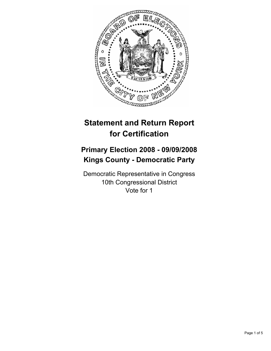

# **Statement and Return Report for Certification**

## **Primary Election 2008 - 09/09/2008 Kings County - Democratic Party**

Democratic Representative in Congress 10th Congressional District Vote for 1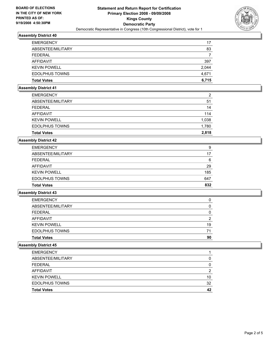

## **Assembly District 40**

| <b>EMERGENCY</b>      | 17    |
|-----------------------|-------|
| ABSENTEE/MILITARY     | 83    |
| FEDERAL               |       |
| AFFIDAVIT             | 397   |
| <b>KEVIN POWELL</b>   | 2,044 |
| <b>EDOLPHUS TOWNS</b> | 4,671 |
| <b>Total Votes</b>    | 6,715 |

#### **Assembly District 41**

| <b>EMERGENCY</b>      | 2     |
|-----------------------|-------|
| ABSENTEE/MILITARY     | 51    |
| FEDERAL               | 14    |
| AFFIDAVIT             | 114   |
| <b>KEVIN POWELL</b>   | 1,038 |
| <b>EDOLPHUS TOWNS</b> | 1,780 |
| <b>Total Votes</b>    | 2,818 |

#### **Assembly District 42**

| <b>EMERGENCY</b>      | 9   |
|-----------------------|-----|
| ABSENTEE/MILITARY     | 17  |
| <b>FEDERAL</b>        | 6   |
| AFFIDAVIT             | 29  |
| <b>KEVIN POWELL</b>   | 185 |
| <b>EDOLPHUS TOWNS</b> | 647 |
| <b>Total Votes</b>    | 832 |

## **Assembly District 43**

| <b>EMERGENCY</b>      |    |
|-----------------------|----|
| ABSENTEE/MILITARY     |    |
| <b>FEDERAL</b>        |    |
| AFFIDAVIT             |    |
| <b>KEVIN POWELL</b>   | 19 |
| <b>EDOLPHUS TOWNS</b> | 71 |
| <b>Total Votes</b>    | 90 |

## **Assembly District 45**

| <b>EMERGENCY</b>      |    |
|-----------------------|----|
| ABSENTEE/MILITARY     |    |
| <b>FEDERAL</b>        |    |
| AFFIDAVIT             | Л  |
| <b>KEVIN POWELL</b>   | 10 |
| <b>EDOLPHUS TOWNS</b> | 32 |
| <b>Total Votes</b>    | 42 |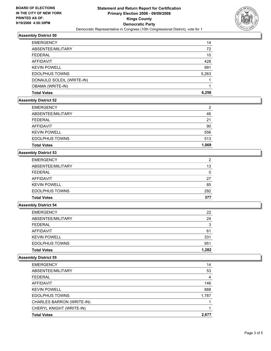

## **Assembly District 50**

| <b>EMERGENCY</b>          | 14    |
|---------------------------|-------|
| ABSENTEE/MILITARY         | 72    |
| FEDERAL                   | 10    |
| AFFIDAVIT                 | 428   |
| <b>KEVIN POWELL</b>       | 991   |
| <b>EDOLPHUS TOWNS</b>     | 5,263 |
| DONAULD SOLEIL (WRITE-IN) |       |
| <b>OBAMA (WRITE-IN)</b>   |       |
| <b>Total Votes</b>        | 6,256 |

## **Assembly District 52**

| <b>EMERGENCY</b>      | 2     |
|-----------------------|-------|
| ABSENTEE/MILITARY     | 46    |
| FEDERAL               | 21    |
| AFFIDAVIT             | 90    |
| <b>KEVIN POWELL</b>   | 556   |
| <b>EDOLPHUS TOWNS</b> | 513   |
| <b>Total Votes</b>    | 1,069 |

## **Assembly District 53**

| <b>EMERGENCY</b>      | າ   |
|-----------------------|-----|
| ABSENTEE/MILITARY     | 13  |
| FEDERAL               |     |
| AFFIDAVIT             | 27  |
| <b>KEVIN POWELL</b>   | 85  |
| <b>EDOLPHUS TOWNS</b> | 292 |
| <b>Total Votes</b>    | 377 |

## **Assembly District 54**

| <b>Total Votes</b>    | 1,282 |
|-----------------------|-------|
| <b>EDOLPHUS TOWNS</b> | 951   |
| <b>KEVIN POWELL</b>   | 331   |
| AFFIDAVIT             | 61    |
| <b>FEDERAL</b>        | 3     |
| ABSENTEE/MILITARY     | 24    |
| <b>EMERGENCY</b>      | 22    |

#### **Assembly District 55**

| <b>EMERGENCY</b>          | 14    |
|---------------------------|-------|
| ABSENTEE/MILITARY         | 53    |
| FEDERAL                   | 4     |
| AFFIDAVIT                 | 146   |
| <b>KEVIN POWELL</b>       | 888   |
| <b>EDOLPHUS TOWNS</b>     | 1,787 |
| CHARLES BARRON (WRITE-IN) |       |
| CHERYL KNIGHT (WRITE-IN)  |       |
| <b>Total Votes</b>        | 2,677 |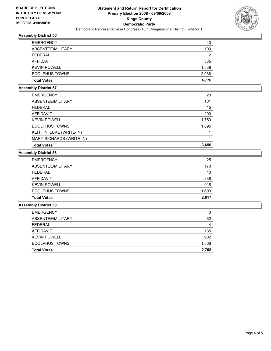

## **Assembly District 56**

| <b>EMERGENCY</b>      | 40    |
|-----------------------|-------|
| ABSENTEE/MILITARY     | 100   |
| FEDERAL               | 2     |
| AFFIDAVIT             | 385   |
| <b>KEVIN POWELL</b>   | 1,838 |
| <b>EDOLPHUS TOWNS</b> | 2,938 |
| <b>Total Votes</b>    | 4,776 |

#### **Assembly District 57**

| <b>EMERGENCY</b>         | 23    |
|--------------------------|-------|
| ABSENTEE/MILITARY        | 101   |
| FEDERAL                  | 15    |
| AFFIDAVIT                | 200   |
| <b>KEVIN POWELL</b>      | 1,753 |
| <b>EDOLPHUS TOWNS</b>    | 1,895 |
| KEITH N. LUKE (WRITE-IN) |       |
| MARY RICHARDS (WRITE-IN) |       |
| <b>Total Votes</b>       | 3,650 |

## **Assembly District 58**

| <b>EMERGENCY</b>      | 25    |
|-----------------------|-------|
| ABSENTEE/MILITARY     | 170   |
| <b>FEDERAL</b>        | 10    |
| AFFIDAVIT             | 238   |
| <b>KEVIN POWELL</b>   | 918   |
| <b>EDOLPHUS TOWNS</b> | 1,699 |
| <b>Total Votes</b>    | 2,617 |

#### **Assembly District 59**

| <b>EDOLPHUS TOWNS</b> | 1,866 |
|-----------------------|-------|
| <b>KEVIN POWELL</b>   | 902   |
| <b>AFFIDAVIT</b>      | 135   |
| <b>FEDERAL</b>        | 4     |
| ABSENTEE/MILITARY     | 62    |
| <b>EMERGENCY</b>      | 0     |